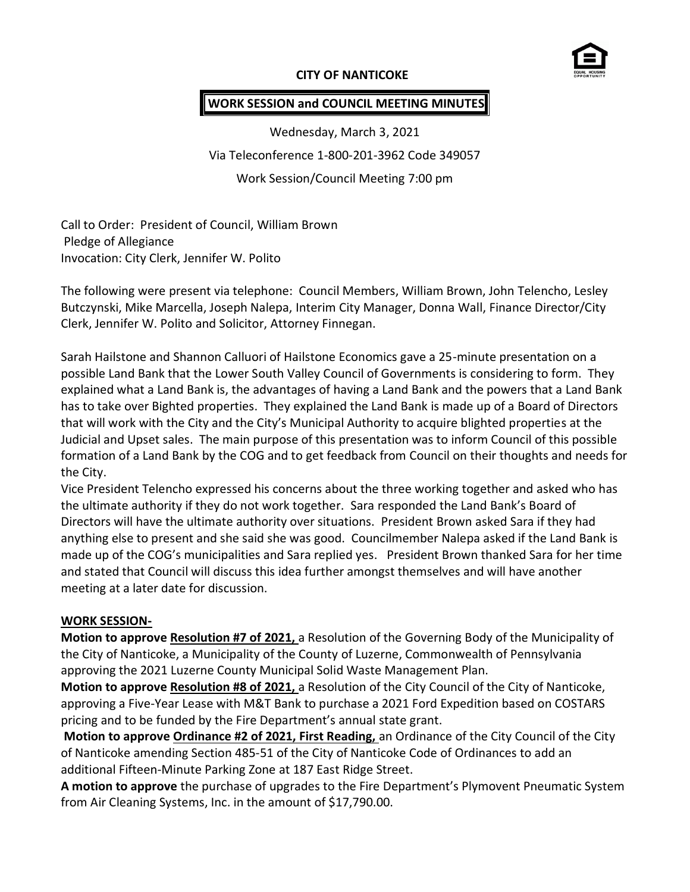## **CITY OF NANTICOKE**



#### **WORK SESSION and COUNCIL MEETING MINUTES**

Wednesday, March 3, 2021 Via Teleconference 1-800-201-3962 Code 349057 Work Session/Council Meeting 7:00 pm

Call to Order: President of Council, William Brown Pledge of Allegiance Invocation: City Clerk, Jennifer W. Polito

The following were present via telephone: Council Members, William Brown, John Telencho, Lesley Butczynski, Mike Marcella, Joseph Nalepa, Interim City Manager, Donna Wall, Finance Director/City Clerk, Jennifer W. Polito and Solicitor, Attorney Finnegan.

Sarah Hailstone and Shannon Calluori of Hailstone Economics gave a 25-minute presentation on a possible Land Bank that the Lower South Valley Council of Governments is considering to form. They explained what a Land Bank is, the advantages of having a Land Bank and the powers that a Land Bank has to take over Bighted properties. They explained the Land Bank is made up of a Board of Directors that will work with the City and the City's Municipal Authority to acquire blighted properties at the Judicial and Upset sales. The main purpose of this presentation was to inform Council of this possible formation of a Land Bank by the COG and to get feedback from Council on their thoughts and needs for the City.

Vice President Telencho expressed his concerns about the three working together and asked who has the ultimate authority if they do not work together. Sara responded the Land Bank's Board of Directors will have the ultimate authority over situations. President Brown asked Sara if they had anything else to present and she said she was good. Councilmember Nalepa asked if the Land Bank is made up of the COG's municipalities and Sara replied yes. President Brown thanked Sara for her time and stated that Council will discuss this idea further amongst themselves and will have another meeting at a later date for discussion.

#### **WORK SESSION-**

**Motion to approve Resolution #7 of 2021,** a Resolution of the Governing Body of the Municipality of the City of Nanticoke, a Municipality of the County of Luzerne, Commonwealth of Pennsylvania approving the 2021 Luzerne County Municipal Solid Waste Management Plan.

**Motion to approve Resolution #8 of 2021,** a Resolution of the City Council of the City of Nanticoke, approving a Five-Year Lease with M&T Bank to purchase a 2021 Ford Expedition based on COSTARS pricing and to be funded by the Fire Department's annual state grant.

**Motion to approve Ordinance #2 of 2021, First Reading,** an Ordinance of the City Council of the City of Nanticoke amending Section 485-51 of the City of Nanticoke Code of Ordinances to add an additional Fifteen-Minute Parking Zone at 187 East Ridge Street.

**A motion to approve** the purchase of upgrades to the Fire Department's Plymovent Pneumatic System from Air Cleaning Systems, Inc. in the amount of \$17,790.00.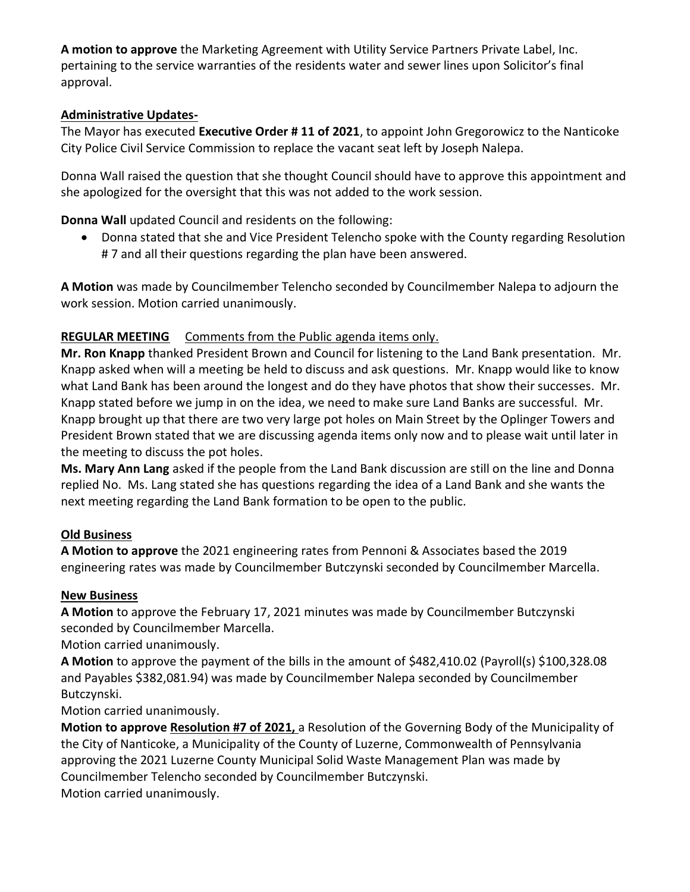**A motion to approve** the Marketing Agreement with Utility Service Partners Private Label, Inc. pertaining to the service warranties of the residents water and sewer lines upon Solicitor's final approval.

# **Administrative Updates-**

The Mayor has executed **Executive Order # 11 of 2021**, to appoint John Gregorowicz to the Nanticoke City Police Civil Service Commission to replace the vacant seat left by Joseph Nalepa.

Donna Wall raised the question that she thought Council should have to approve this appointment and she apologized for the oversight that this was not added to the work session.

**Donna Wall** updated Council and residents on the following:

 Donna stated that she and Vice President Telencho spoke with the County regarding Resolution # 7 and all their questions regarding the plan have been answered.

**A Motion** was made by Councilmember Telencho seconded by Councilmember Nalepa to adjourn the work session. Motion carried unanimously.

# **REGULAR MEETING** Comments from the Public agenda items only.

**Mr. Ron Knapp** thanked President Brown and Council for listening to the Land Bank presentation. Mr. Knapp asked when will a meeting be held to discuss and ask questions. Mr. Knapp would like to know what Land Bank has been around the longest and do they have photos that show their successes. Mr. Knapp stated before we jump in on the idea, we need to make sure Land Banks are successful. Mr. Knapp brought up that there are two very large pot holes on Main Street by the Oplinger Towers and President Brown stated that we are discussing agenda items only now and to please wait until later in the meeting to discuss the pot holes.

**Ms. Mary Ann Lang** asked if the people from the Land Bank discussion are still on the line and Donna replied No. Ms. Lang stated she has questions regarding the idea of a Land Bank and she wants the next meeting regarding the Land Bank formation to be open to the public.

# **Old Business**

**A Motion to approve** the 2021 engineering rates from Pennoni & Associates based the 2019 engineering rates was made by Councilmember Butczynski seconded by Councilmember Marcella.

# **New Business**

**A Motion** to approve the February 17, 2021 minutes was made by Councilmember Butczynski seconded by Councilmember Marcella.

Motion carried unanimously.

**A Motion** to approve the payment of the bills in the amount of \$482,410.02 (Payroll(s) \$100,328.08 and Payables \$382,081.94) was made by Councilmember Nalepa seconded by Councilmember Butczynski.

Motion carried unanimously.

**Motion to approve Resolution #7 of 2021,** a Resolution of the Governing Body of the Municipality of the City of Nanticoke, a Municipality of the County of Luzerne, Commonwealth of Pennsylvania approving the 2021 Luzerne County Municipal Solid Waste Management Plan was made by Councilmember Telencho seconded by Councilmember Butczynski. Motion carried unanimously.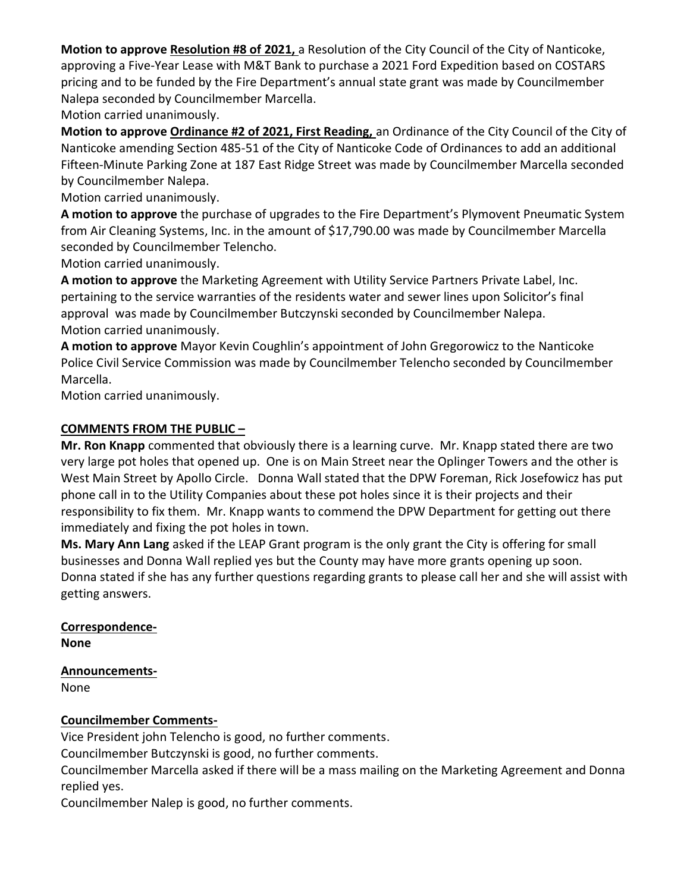**Motion to approve Resolution #8 of 2021,** a Resolution of the City Council of the City of Nanticoke, approving a Five-Year Lease with M&T Bank to purchase a 2021 Ford Expedition based on COSTARS pricing and to be funded by the Fire Department's annual state grant was made by Councilmember Nalepa seconded by Councilmember Marcella.

Motion carried unanimously.

**Motion to approve Ordinance #2 of 2021, First Reading,** an Ordinance of the City Council of the City of Nanticoke amending Section 485-51 of the City of Nanticoke Code of Ordinances to add an additional Fifteen-Minute Parking Zone at 187 East Ridge Street was made by Councilmember Marcella seconded by Councilmember Nalepa.

Motion carried unanimously.

**A motion to approve** the purchase of upgrades to the Fire Department's Plymovent Pneumatic System from Air Cleaning Systems, Inc. in the amount of \$17,790.00 was made by Councilmember Marcella seconded by Councilmember Telencho.

Motion carried unanimously.

**A motion to approve** the Marketing Agreement with Utility Service Partners Private Label, Inc. pertaining to the service warranties of the residents water and sewer lines upon Solicitor's final approval was made by Councilmember Butczynski seconded by Councilmember Nalepa. Motion carried unanimously.

**A motion to approve** Mayor Kevin Coughlin's appointment of John Gregorowicz to the Nanticoke Police Civil Service Commission was made by Councilmember Telencho seconded by Councilmember Marcella.

Motion carried unanimously.

#### **COMMENTS FROM THE PUBLIC –**

**Mr. Ron Knapp** commented that obviously there is a learning curve. Mr. Knapp stated there are two very large pot holes that opened up. One is on Main Street near the Oplinger Towers and the other is West Main Street by Apollo Circle. Donna Wall stated that the DPW Foreman, Rick Josefowicz has put phone call in to the Utility Companies about these pot holes since it is their projects and their responsibility to fix them. Mr. Knapp wants to commend the DPW Department for getting out there immediately and fixing the pot holes in town.

**Ms. Mary Ann Lang** asked if the LEAP Grant program is the only grant the City is offering for small businesses and Donna Wall replied yes but the County may have more grants opening up soon. Donna stated if she has any further questions regarding grants to please call her and she will assist with getting answers.

**Correspondence-None**

**Announcements-**

None

## **Councilmember Comments-**

Vice President john Telencho is good, no further comments.

Councilmember Butczynski is good, no further comments.

Councilmember Marcella asked if there will be a mass mailing on the Marketing Agreement and Donna replied yes.

Councilmember Nalep is good, no further comments.